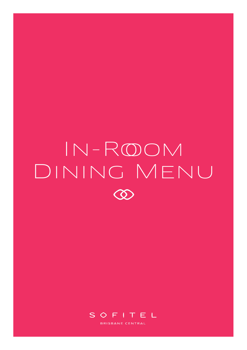# In-Rooom Dining Menu $\infty$

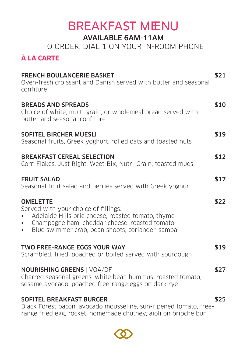### **BREAKFAST MENU**

#### AVAILABLE 6AM-11AM

TO ORDER, DIAL 1 ON YOUR IN-ROOM PHONE

#### **À LA CARTE**

| <b>FRENCH BOULANGERIE BASKET</b><br>Oven-fresh croissant and Danish served with butter and seasonal<br>confiture                                                                                                                             | \$21 |
|----------------------------------------------------------------------------------------------------------------------------------------------------------------------------------------------------------------------------------------------|------|
| <b>BREADS AND SPREADS</b><br>Choice of white, multi-grain, or wholemeal bread served with<br>butter and seasonal confiture                                                                                                                   | \$10 |
| <b>SOFITEL BIRCHER MUESLI</b><br>Seasonal fruits, Greek yoghurt, rolled oats and toasted nuts                                                                                                                                                | \$19 |
| <b>BREAKFAST CEREAL SELECTION</b><br>Corn Flakes, Just Right, Weet-Bix, Nutri-Grain, toasted muesli                                                                                                                                          | \$12 |
| <b>FRUIT SALAD</b><br>Seasonal fruit salad and berries served with Greek yoghurt                                                                                                                                                             | \$17 |
| <b>OMELETTE</b><br>Served with your choice of fillings:<br>Adelaide Hills brie cheese, roasted tomato, thyme<br>Champagne ham, cheddar cheese, roasted tomato<br>$\bullet$<br>Blue swimmer crab, bean shoots, coriander, sambal<br>$\bullet$ | \$22 |
| <b>TWO FREE-RANGE EGGS YOUR WAY</b><br>Scrambled, fried, poached or boiled served with sourdough                                                                                                                                             | \$19 |
| <b>NOURISHING GREENS   VOA/DF</b><br>Charred seasonal greens, white bean hummus, roasted tomato,<br>sesame avocado, poached free-range eggs on dark rye                                                                                      | \$27 |
| <b>SOFITEL BREAKFAST BURGER</b><br><b>Contract Contract Contract</b>                                                                                                                                                                         | \$25 |

Black Forest bacon, avocado mousseline, sun-ripened tomato, freerange fried egg, rocket, homemade chutney, aioli on brioche bun

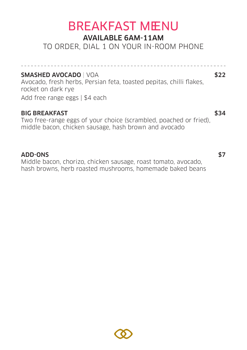# **BREAKFAST MENU**

#### AVAILABLE 6AM-11AM

TO ORDER, DIAL 1 ON YOUR IN-ROOM PHONE

SMASHED AVOCADO | VOA \$22 Avocado, fresh herbs, Persian feta, toasted pepitas, chilli flakes, rocket on dark rye Add free range eggs | \$4 each

#### BIG BREAKFAST \$34

Two free-range eggs of your choice (scrambled, poached or fried), middle bacon, chicken sausage, hash brown and avocado

#### ADD-ONS \$7

Middle bacon, chorizo, chicken sausage, roast tomato, avocado, hash browns, herb roasted mushrooms, homemade baked beans

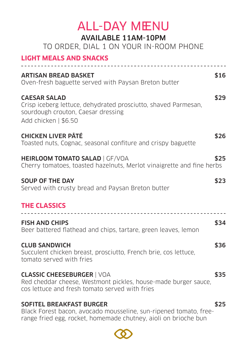### **ALL-DAY MENU** AVAILABLE 11AM-10PM TO ORDER, DIAL 1 ON YOUR IN-ROOM PHONE **LIGHT MEALS AND SNACKS** ARTISAN BREAD BASKET **1999 SEPTEMBER 1999 STATE** Oven-fresh baguette served with Paysan Breton butter CAESAR SALAD \$29 Crisp iceberg lettuce, dehydrated prosciutto, shaved Parmesan, sourdough crouton, Caesar dressing Add chicken | \$6.50 CHICKEN LIVER PÂTÉ \$26 Toasted nuts, Cognac, seasonal confiture and crispy baguette HEIRLOOM TOMATO SALAD | GF/VOA \$25 Cherry tomatoes, toasted hazelnuts, Merlot vinaigrette and fine herbs SOUP OF THE DAY \$23 Served with crusty bread and Paysan Breton butter **THE CLASSICS** <u>. . . . . . . . . . . . . . .</u> FISH AND CHIPS \$34 Beer battered flathead and chips, tartare, green leaves, lemon CLUB SANDWICH **\$36** Succulent chicken breast, prosciutto, French brie, cos lettuce, tomato served with fries **CLASSIC CHEESEBURGER | VOA \$35** Red cheddar cheese, Westmont pickles, house-made burger sauce, cos lettuce and fresh tomato served with fries SOFITEL BREAKFAST BURGER \$25

Black Forest bacon, avocado mousseline, sun-ripened tomato, freerange fried egg, rocket, homemade chutney, aioli on brioche bun

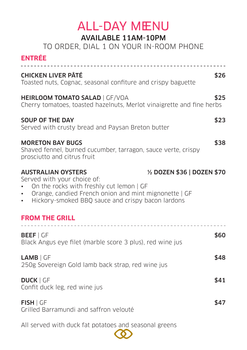## **ALL-DAY MENU**

#### AVAILABLE 11AM-10PM

TO ORDER, DIAL 1 ON YOUR IN-ROOM PHONE

| <b>ENTREE</b>                                                                                                                                                                                                                                                                   |      |
|---------------------------------------------------------------------------------------------------------------------------------------------------------------------------------------------------------------------------------------------------------------------------------|------|
| <b>CHICKEN LIVER PÂTÉ</b><br>Toasted nuts, Cognac, seasonal confiture and crispy baguette                                                                                                                                                                                       | \$26 |
| <b>HEIRLOOM TOMATO SALAD   GF/VOA</b><br>Cherry tomatoes, toasted hazelnuts, Merlot vinaigrette and fine herbs                                                                                                                                                                  | \$25 |
| <b>SOUP OF THE DAY</b><br>Served with crusty bread and Paysan Breton butter                                                                                                                                                                                                     | \$23 |
| <b>MORETON BAY BUGS</b><br>Shaved fennel, burned cucumber, tarragon, sauce verte, crispy<br>prosciutto and citrus fruit                                                                                                                                                         | \$38 |
| 1/2 DOZEN \$36   DOZEN \$70<br><b>AUSTRALIAN OYSTERS</b><br>Served with your choice of:<br>On the rocks with freshly cut lemon   GF<br>Orange, candied French onion and mint mignonette   GF<br>$\bullet$ .<br>Hickory-smoked BBQ sauce and crispy bacon lardons<br>$\bullet$ . |      |
| <b>FROM THE GRILL</b>                                                                                                                                                                                                                                                           |      |
| <b>BEEF</b>   GF<br>Black Angus eye filet (marble score 3 plus), red wine jus                                                                                                                                                                                                   | \$60 |
| $LAMB$ $GF$<br>250g Sovereign Gold lamb back strap, red wine jus                                                                                                                                                                                                                | \$48 |
| <b>DUCK   GF</b><br>Confit duck leg, red wine jus                                                                                                                                                                                                                               | \$41 |
| FISH   GF<br>Grilled Barramundi and saffron velouté                                                                                                                                                                                                                             | \$47 |
|                                                                                                                                                                                                                                                                                 |      |

All served with duck fat potatoes and seasonal greens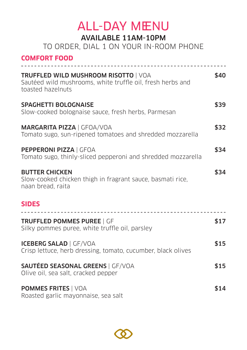# **ALL-DAY MENU**

#### AVAILABLE 11AM-10PM

TO ORDER, DIAL 1 ON YOUR IN-ROOM PHONE

| <b>COMFORT FOOD</b>                                                                                                            |      |
|--------------------------------------------------------------------------------------------------------------------------------|------|
| <b>TRUFFLED WILD MUSHROOM RISOTTO   VOA</b><br>Sautéed wild mushrooms, white truffle oil, fresh herbs and<br>toasted hazelnuts | \$40 |
| <b>SPAGHETTI BOLOGNAISE</b><br>Slow-cooked bolognaise sauce, fresh herbs, Parmesan                                             | \$39 |
| <b>MARGARITA PIZZA   GFOA/VOA</b><br>Tomato sugo, sun-ripened tomatoes and shredded mozzarella                                 | \$32 |
| PEPPERONI PIZZA   GFOA<br>Tomato sugo, thinly-sliced pepperoni and shredded mozzarella                                         | \$34 |
| <b>BUTTER CHICKEN</b><br>Slow-cooked chicken thigh in fragrant sauce, basmati rice,<br>naan bread, raita                       | \$34 |
| <b>SIDES</b><br><u>__________________________________</u>                                                                      |      |
| <b>TRUFFLED POMMES PUREE   GF</b><br>Silky pommes puree, white truffle oil, parsley                                            | \$17 |
| <b>ICEBERG SALAD   GF/VOA</b><br>Crisp lettuce, herb dressing, tomato, cucumber, black olives                                  | \$15 |
| <b>SAUTÉED SEASONAL GREENS   GF/VOA</b><br>Olive oil, sea salt, cracked pepper                                                 | \$15 |
| <b>POMMES FRITES   VOA</b><br>Roasted garlic mayonnaise, sea salt                                                              | \$14 |

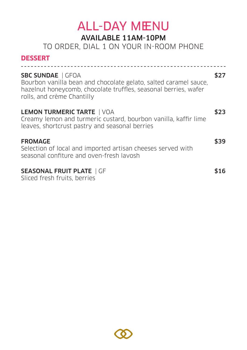## **ALL-DAY MENU**

#### AVAILABLE 11AM-10PM

TO ORDER, DIAL 1 ON YOUR IN-ROOM PHONE

#### **DESSERT**

| <b>SBC SUNDAE</b>   GFOA<br>Bourbon vanilla bean and chocolate gelato, salted caramel sauce,<br>hazelnut honeycomb, chocolate truffles, seasonal berries, wafer<br>rolls, and crème Chantilly |      |
|-----------------------------------------------------------------------------------------------------------------------------------------------------------------------------------------------|------|
| <b>LEMON TURMERIC TARTE   VOA</b><br>Creamy lemon and turmeric custard, bourbon vanilla, kaffir lime<br>leaves, shortcrust pastry and seasonal berries                                        |      |
| <b>FROMAGE</b><br>Selection of local and imported artisan cheeses served with<br>seasonal confiture and oven-fresh lavosh                                                                     | \$39 |
| <b>SEASONAL FRUIT PLATE   GF</b><br>Sliced fresh fruits, berries                                                                                                                              |      |

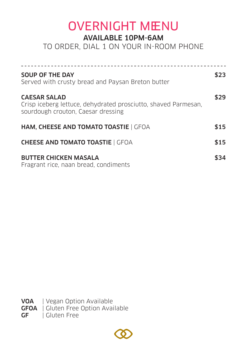## OVERNIGHT MENU

#### AVAILABLE 10PM-6AM

TO ORDER, DIAL 1 ON YOUR IN-ROOM PHONE

| <b>SOUP OF THE DAY</b><br>Served with crusty bread and Paysan Breton butter                                                 | \$23 |
|-----------------------------------------------------------------------------------------------------------------------------|------|
| <b>CAESAR SALAD</b><br>Crisp iceberg lettuce, dehydrated prosciutto, shaved Parmesan,<br>sourdough crouton, Caesar dressing | \$29 |
| HAM, CHEESE AND TOMATO TOASTIE   GFOA                                                                                       | \$15 |
| <b>CHEESE AND TOMATO TOASTIE   GFOA</b>                                                                                     | \$15 |
| <b>BUTTER CHICKEN MASALA</b><br>Fragrant rice, naan bread, condiments                                                       | \$34 |

VOA | Vegan Option Available **GFOA** | Gluten Free Option Available **GF** | Gluten Free

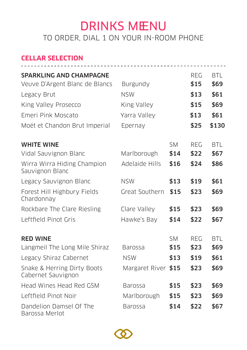### DRINKS MENU TO ORDER, DIAL 1 ON YOUR IN-ROOM PHONE

#### **CELLAR SELECTION**

| <b>SPARKLING AND CHAMPAGNE</b><br>Veuve D'Argent Blanc de Blancs<br>Legacy Brut<br>King Valley Prosecco<br>Emeri Pink Moscato | <b>Burgundy</b><br><b>NSW</b><br>King Valley<br>Yarra Valley |                           | REG<br>\$15<br>\$13<br>\$15<br>\$13 | <b>BTL</b><br>\$69<br>\$61<br>\$69<br>\$61 |
|-------------------------------------------------------------------------------------------------------------------------------|--------------------------------------------------------------|---------------------------|-------------------------------------|--------------------------------------------|
| Moët et Chandon Brut Imperial                                                                                                 | Epernay                                                      |                           | \$25                                | \$130                                      |
| <b>WHITE WINE</b><br>Vidal Sauvignon Blanc<br>Wirra Wirra Hiding Champion<br>Sauvignon Blanc                                  | Marlborough<br>Adelaide Hills                                | <b>SM</b><br>\$14<br>\$16 | <b>REG</b><br>\$22<br>\$24          | <b>BTL</b><br>\$67<br>\$86                 |
| Legacy Sauvignon Blanc<br>Forest Hill Highbury Fields<br>Chardonnay                                                           | <b>NSW</b><br>Great Southern                                 | \$13<br>\$15              | \$19<br>\$23                        | \$61<br>\$69                               |
| Rockbare The Clare Riesling<br>Leftfield Pinot Gris                                                                           | Clare Valley<br>Hawke's Bay                                  | \$15<br>\$14              | \$23<br>\$22                        | \$69<br>\$67                               |
| <b>RED WINE</b><br>Langmeil The Long Mile Shiraz<br>Legacy Shiraz Cabernet                                                    | <b>Barossa</b><br><b>NSW</b>                                 | <b>SM</b><br>\$15<br>\$13 | <b>REG</b><br>\$23<br>\$19          | <b>BTL</b><br>\$69<br>\$61                 |
| Snake & Herring Dirty Boots<br>Cabernet Sauvignon<br>Head Wines Head Red GSM                                                  | Margaret River \$15<br>Barossa                               | \$15                      | \$23<br>\$23                        | \$69<br>\$69                               |
| Leftfield Pinot Noir<br>Dandelion Damsel Of The<br>Barossa Merlot                                                             | Marlborough<br><b>Barossa</b>                                | \$15<br>\$14              | \$23<br>\$22                        | \$69<br>\$67                               |